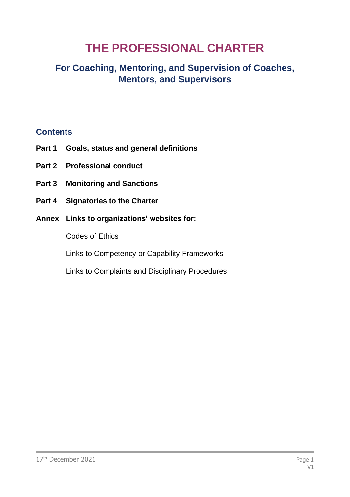# **THE PROFESSIONAL CHARTER**

### **For Coaching, Mentoring, and Supervision of Coaches, Mentors, and Supervisors**

### **Contents**

- **Part 1 Goals, status and general definitions**
- **Part 2 Professional conduct**
- **Part 3 Monitoring and Sanctions**
- **Part 4 Signatories to the Charter**
- **Annex Links to organizations' websites for:**

Codes of Ethics

Links to Competency or Capability Frameworks

Links to Complaints and Disciplinary Procedures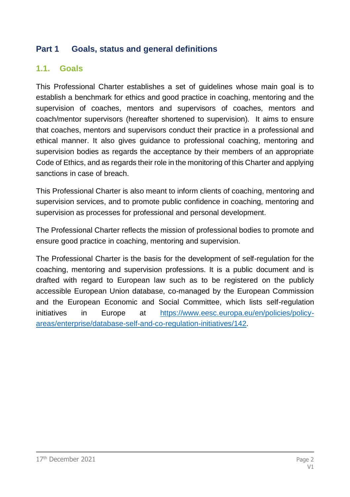### **Part 1 Goals, status and general definitions**

#### **1.1. Goals**

This Professional Charter establishes a set of guidelines whose main goal is to establish a benchmark for ethics and good practice in coaching, mentoring and the supervision of coaches, mentors and supervisors of coaches, mentors and coach/mentor supervisors (hereafter shortened to supervision). It aims to ensure that coaches, mentors and supervisors conduct their practice in a professional and ethical manner. It also gives guidance to professional coaching, mentoring and supervision bodies as regards the acceptance by their members of an appropriate Code of Ethics, and as regards their role in the monitoring of this Charter and applying sanctions in case of breach.

This Professional Charter is also meant to inform clients of coaching, mentoring and supervision services, and to promote public confidence in coaching, mentoring and supervision as processes for professional and personal development.

The Professional Charter reflects the mission of professional bodies to promote and ensure good practice in coaching, mentoring and supervision.

The Professional Charter is the basis for the development of self-regulation for the coaching, mentoring and supervision professions. It is a public document and is drafted with regard to European law such as to be registered on the publicly accessible European Union database, co-managed by the European Commission and the European Economic and Social Committee, which lists self-regulation initiatives in Europe at [https://www.eesc.europa.eu/en/policies/policy](https://www.eesc.europa.eu/en/policies/policy-areas/enterprise/database-self-and-co-regulation-initiatives/142)[areas/enterprise/database-self-and-co-regulation-initiatives/142.](https://www.eesc.europa.eu/en/policies/policy-areas/enterprise/database-self-and-co-regulation-initiatives/142)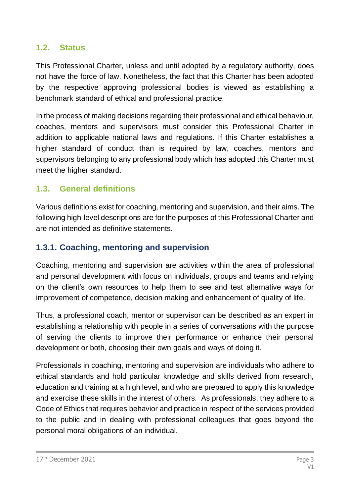#### **1.2. Status**

This Professional Charter, unless and until adopted by a regulatory authority, does not have the force of law. Nonetheless, the fact that this Charter has been adopted by the respective approving professional bodies is viewed as establishing a benchmark standard of ethical and professional practice.

In the process of making decisions regarding their professional and ethical behaviour, coaches, mentors and supervisors must consider this Professional Charter in addition to applicable national laws and regulations. If this Charter establishes a higher standard of conduct than is required by law, coaches, mentors and supervisors belonging to any professional body which has adopted this Charter must meet the higher standard.

#### **1.3. General definitions**

Various definitions exist for coaching, mentoring and supervision, and their aims. The following high-level descriptions are for the purposes of this Professional Charter and are not intended as definitive statements.

### **1.3.1. Coaching, mentoring and supervision**

Coaching, mentoring and supervision are activities within the area of professional and personal development with focus on individuals, groups and teams and relying on the client's own resources to help them to see and test alternative ways for improvement of competence, decision making and enhancement of quality of life.

Thus, a professional coach, mentor or supervisor can be described as an expert in establishing a relationship with people in a series of conversations with the purpose of serving the clients to improve their performance or enhance their personal development or both, choosing their own goals and ways of doing it.

Professionals in coaching, mentoring and supervision are individuals who adhere to ethical standards and hold particular knowledge and skills derived from research, education and training at a high level, and who are prepared to apply this knowledge and exercise these skills in the interest of others. As professionals, they adhere to a Code of Ethics that requires behavior and practice in respect of the services provided to the public and in dealing with professional colleagues that goes beyond the personal moral obligations of an individual.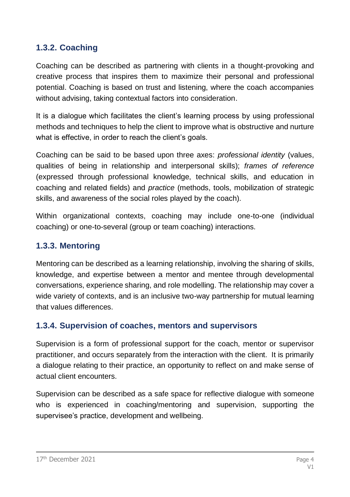### **1.3.2. Coaching**

Coaching can be described as partnering with clients in a thought-provoking and creative process that inspires them to maximize their personal and professional potential. Coaching is based on trust and listening, where the coach accompanies without advising, taking contextual factors into consideration.

It is a dialogue which facilitates the client's learning process by using professional methods and techniques to help the client to improve what is obstructive and nurture what is effective, in order to reach the client's goals.

Coaching can be said to be based upon three axes: *professional identity* (values, qualities of being in relationship and interpersonal skills); *frames of reference* (expressed through professional knowledge, technical skills, and education in coaching and related fields) and *practice* (methods, tools, mobilization of strategic skills, and awareness of the social roles played by the coach).

Within organizational contexts, coaching may include one-to-one (individual coaching) or one-to-several (group or team coaching) interactions.

### **1.3.3. Mentoring**

Mentoring can be described as a learning relationship, involving the sharing of skills, knowledge, and expertise between a mentor and mentee through developmental conversations, experience sharing, and role modelling. The relationship may cover a wide variety of contexts, and is an inclusive two-way partnership for mutual learning that values differences.

#### **1.3.4. Supervision of coaches, mentors and supervisors**

Supervision is a form of professional support for the coach, mentor or supervisor practitioner, and occurs separately from the interaction with the client. It is primarily a dialogue relating to their practice, an opportunity to reflect on and make sense of actual client encounters.

Supervision can be described as a safe space for reflective dialogue with someone who is experienced in coaching/mentoring and supervision, supporting the supervisee's practice, development and wellbeing.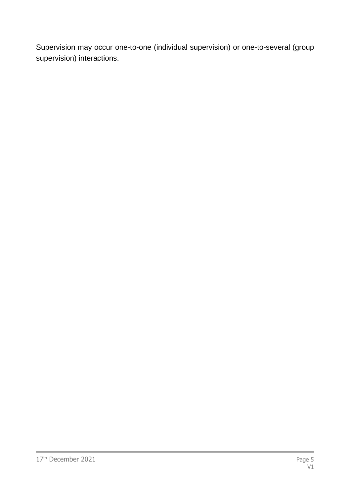Supervision may occur one-to-one (individual supervision) or one-to-several (group supervision) interactions.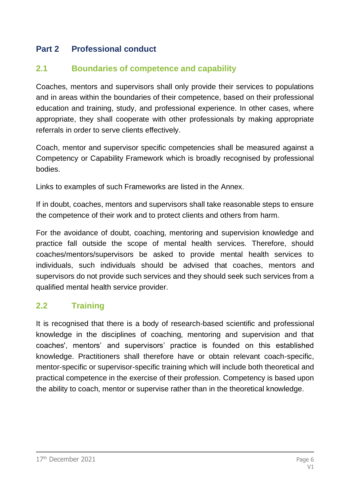### **Part 2 Professional conduct**

### **2.1 Boundaries of competence and capability**

Coaches, mentors and supervisors shall only provide their services to populations and in areas within the boundaries of their competence, based on their professional education and training, study, and professional experience. In other cases, where appropriate, they shall cooperate with other professionals by making appropriate referrals in order to serve clients effectively.

Coach, mentor and supervisor specific competencies shall be measured against a Competency or Capability Framework which is broadly recognised by professional bodies.

Links to examples of such Frameworks are listed in the Annex.

If in doubt, coaches, mentors and supervisors shall take reasonable steps to ensure the competence of their work and to protect clients and others from harm.

For the avoidance of doubt, coaching, mentoring and supervision knowledge and practice fall outside the scope of mental health services. Therefore, should coaches/mentors/supervisors be asked to provide mental health services to individuals, such individuals should be advised that coaches, mentors and supervisors do not provide such services and they should seek such services from a qualified mental health service provider.

### **2.2 Training**

It is recognised that there is a body of research-based scientific and professional knowledge in the disciplines of coaching, mentoring and supervision and that coaches', mentors' and supervisors' practice is founded on this established knowledge. Practitioners shall therefore have or obtain relevant coach-specific, mentor-specific or supervisor-specific training which will include both theoretical and practical competence in the exercise of their profession. Competency is based upon the ability to coach, mentor or supervise rather than in the theoretical knowledge.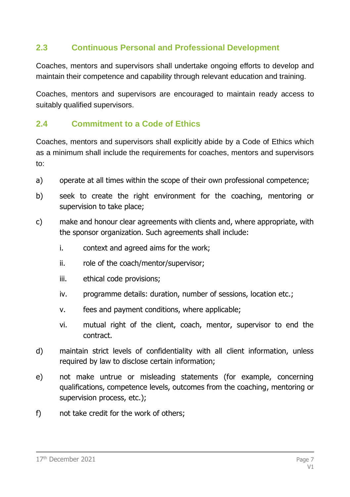### **2.3 Continuous Personal and Professional Development**

Coaches, mentors and supervisors shall undertake ongoing efforts to develop and maintain their competence and capability through relevant education and training.

Coaches, mentors and supervisors are encouraged to maintain ready access to suitably qualified supervisors.

#### **2.4 Commitment to a Code of Ethics**

Coaches, mentors and supervisors shall explicitly abide by a Code of Ethics which as a minimum shall include the requirements for coaches, mentors and supervisors to:

- a) operate at all times within the scope of their own professional competence;
- b) seek to create the right environment for the coaching, mentoring or supervision to take place;
- c) make and honour clear agreements with clients and, where appropriate, with the sponsor organization. Such agreements shall include:
	- i. context and agreed aims for the work;
	- ii. role of the coach/mentor/supervisor;
	- iii. ethical code provisions;
	- iv. programme details: duration, number of sessions, location etc.;
	- v. fees and payment conditions, where applicable;
	- vi. mutual right of the client, coach, mentor, supervisor to end the contract.
- d) maintain strict levels of confidentiality with all client information, unless required by law to disclose certain information;
- e) not make untrue or misleading statements (for example, concerning qualifications, competence levels, outcomes from the coaching, mentoring or supervision process, etc.);
- f) not take credit for the work of others;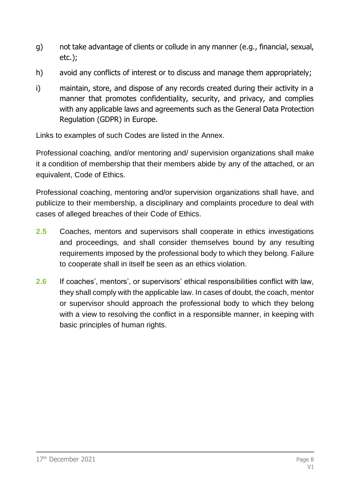- g) not take advantage of clients or collude in any manner (e.g., financial, sexual, etc.);
- h) avoid any conflicts of interest or to discuss and manage them appropriately;
- i) maintain, store, and dispose of any records created during their activity in a manner that promotes confidentiality, security, and privacy, and complies with any applicable laws and agreements such as the General Data Protection Regulation (GDPR) in Europe.

Links to examples of such Codes are listed in the Annex.

Professional coaching, and/or mentoring and/ supervision organizations shall make it a condition of membership that their members abide by any of the attached, or an equivalent, Code of Ethics.

Professional coaching, mentoring and/or supervision organizations shall have, and publicize to their membership, a disciplinary and complaints procedure to deal with cases of alleged breaches of their Code of Ethics.

- **2.5** Coaches, mentors and supervisors shall cooperate in ethics investigations and proceedings, and shall consider themselves bound by any resulting requirements imposed by the professional body to which they belong. Failure to cooperate shall in itself be seen as an ethics violation.
- **2.6** If coaches', mentors', or supervisors' ethical responsibilities conflict with law, they shall comply with the applicable law. In cases of doubt, the coach, mentor or supervisor should approach the professional body to which they belong with a view to resolving the conflict in a responsible manner, in keeping with basic principles of human rights.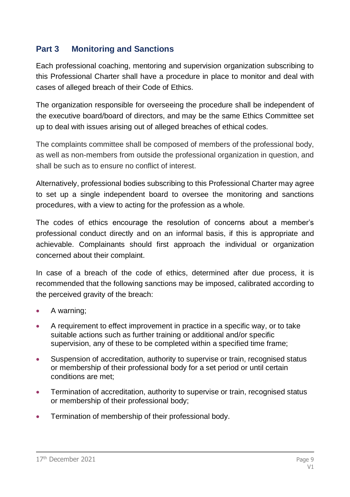### **Part 3 Monitoring and Sanctions**

Each professional coaching, mentoring and supervision organization subscribing to this Professional Charter shall have a procedure in place to monitor and deal with cases of alleged breach of their Code of Ethics.

The organization responsible for overseeing the procedure shall be independent of the executive board/board of directors, and may be the same Ethics Committee set up to deal with issues arising out of alleged breaches of ethical codes.

The complaints committee shall be composed of members of the professional body, as well as non-members from outside the professional organization in question, and shall be such as to ensure no conflict of interest.

Alternatively, professional bodies subscribing to this Professional Charter may agree to set up a single independent board to oversee the monitoring and sanctions procedures, with a view to acting for the profession as a whole.

The codes of ethics encourage the resolution of concerns about a member's professional conduct directly and on an informal basis, if this is appropriate and achievable. Complainants should first approach the individual or organization concerned about their complaint.

In case of a breach of the code of ethics, determined after due process, it is recommended that the following sanctions may be imposed, calibrated according to the perceived gravity of the breach:

- A warning;
- A requirement to effect improvement in practice in a specific way, or to take suitable actions such as further training or additional and/or specific supervision, any of these to be completed within a specified time frame;
- Suspension of accreditation, authority to supervise or train, recognised status or membership of their professional body for a set period or until certain conditions are met;
- Termination of accreditation, authority to supervise or train, recognised status or membership of their professional body;
- Termination of membership of their professional body.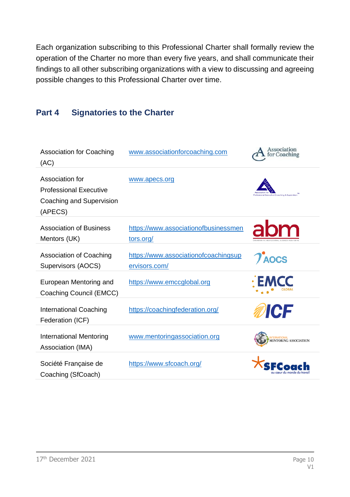Each organization subscribing to this Professional Charter shall formally review the operation of the Charter no more than every five years, and shall communicate their findings to all other subscribing organizations with a view to discussing and agreeing possible changes to this Professional Charter over time.

### **Part 4 Signatories to the Charter**

| Association for Coaching<br>(AC)                                                        | www.associationforcoaching.com                        | Association<br>or Coaching             |
|-----------------------------------------------------------------------------------------|-------------------------------------------------------|----------------------------------------|
| Association for<br><b>Professional Executive</b><br>Coaching and Supervision<br>(APECS) | www.apecs.org                                         | stonal Executive Coaching & Supervisor |
| Association of Business<br>Mentors (UK)                                                 | https://www.associationofbusinessmen<br>tors.org/     |                                        |
| Association of Coaching<br>Supervisors (AOCS)                                           | https://www.associationofcoachingsup<br>ervisors.com/ | $7$ AOCS                               |
| European Mentoring and<br>Coaching Council (EMCC)                                       | https://www.emccglobal.org                            |                                        |
| International Coaching<br>Federation (ICF)                                              | https://coachingfederation.org/                       | <b>ICF</b>                             |
| International Mentoring<br>Association (IMA)                                            | www.mentoringassociation.org                          | NTERNATIONAL<br>MENTORING ASSOCIATION  |
| Société Française de<br>Coaching (SfCoach)                                              | https://www.sfcoach.org/                              |                                        |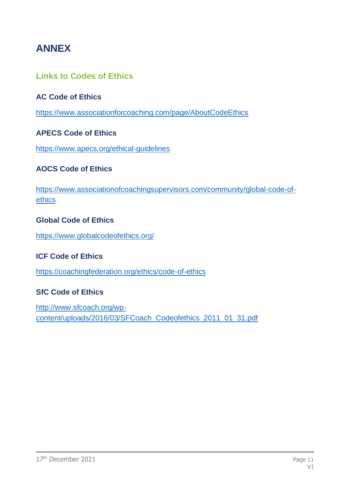## **ANNEX**

### **Links to Codes of Ethics**

#### **AC Code of Ethics**

<https://www.associationforcoaching.com/page/AboutCodeEthics>

#### **APECS Code of Ethics**

<https://www.apecs.org/ethical-guidelines>

#### **AOCS Code of Ethics**

[https://www.associationofcoachingsupervisors.com/community/global-code-of](https://www.associationofcoachingsupervisors.com/community/global-code-of-ethics)[ethics](https://www.associationofcoachingsupervisors.com/community/global-code-of-ethics)

#### **Global Code of Ethics**

<https://www.globalcodeofethics.org/>

#### **ICF Code of Ethics**

<https://coachingfederation.org/ethics/code-of-ethics>

#### **SfC Code of Ethics**

[http://www.sfcoach.org/wp](http://www.sfcoach.org/wp-content/uploads/2016/03/SFCoach_Codeofethics_2011_01_31.pdf)[content/uploads/2016/03/SFCoach\\_Codeofethics\\_2011\\_01\\_31.pdf](http://www.sfcoach.org/wp-content/uploads/2016/03/SFCoach_Codeofethics_2011_01_31.pdf)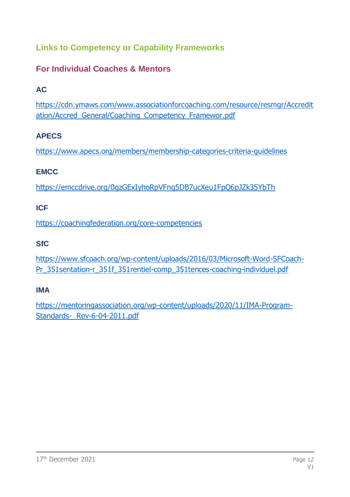### **Links to Competency or Capability Frameworks**

### **For Individual Coaches & Mentors**

### **AC**

[https://cdn.ymaws.com/www.associationforcoaching.com/resource/resmgr/Accredit](https://cdn.ymaws.com/www.associationforcoaching.com/resource/resmgr/Accreditation/Accred_General/Coaching_Competency_Framewor.pdf) [ation/Accred\\_General/Coaching\\_Competency\\_Framewor.pdf](https://cdn.ymaws.com/www.associationforcoaching.com/resource/resmgr/Accreditation/Accred_General/Coaching_Competency_Framewor.pdf)

### **APECS**

<https://www.apecs.org/members/membership-categories-criteria-guidelines>

#### **EMCC**

<https://emccdrive.org/0gzGExIyhoRpVFnq5DB7ucXeu1FpQ6pJZk35YbTh>

#### **ICF**

<https://coachingfederation.org/core-competencies>

### **SfC**

[https://www.sfcoach.org/wp-content/uploads/2016/03/Microsoft-Word-SFCoach-](https://www.sfcoach.org/wp-content/uploads/2016/03/Microsoft-Word-SFCoach-Pr_351sentation-r_351f_351rentiel-comp_351tences-coaching-individuel.pdf)[Pr\\_351sentation-r\\_351f\\_351rentiel-comp\\_351tences-coaching-individuel.pdf](https://www.sfcoach.org/wp-content/uploads/2016/03/Microsoft-Word-SFCoach-Pr_351sentation-r_351f_351rentiel-comp_351tences-coaching-individuel.pdf)

#### **IMA**

[https://mentoringassociation.org/wp-content/uploads/2020/11/IMA-Program-](https://mentoringassociation.org/wp-content/uploads/2020/11/IMA-Program-Standards-%20%20Rev-6-04-2011.pdf)[Standards- Rev-6-04-2011.pdf](https://mentoringassociation.org/wp-content/uploads/2020/11/IMA-Program-Standards-%20%20Rev-6-04-2011.pdf)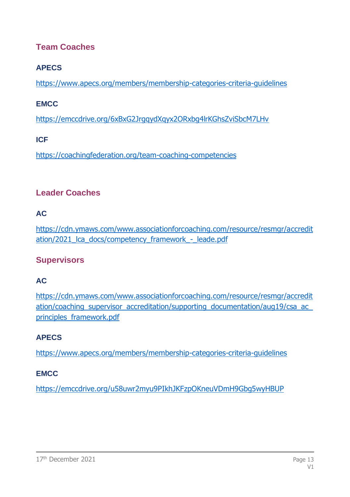### **Team Coaches**

### **APECS**

<https://www.apecs.org/members/membership-categories-criteria-guidelines>

#### **EMCC**

<https://emccdrive.org/6xBxG2JrgqydXqyx2ORxbg4lrKGhsZviSbcM7LHv>

#### **ICF**

<https://coachingfederation.org/team-coaching-competencies>

### **Leader Coaches**

### **AC**

[https://cdn.ymaws.com/www.associationforcoaching.com/resource/resmgr/accredit](https://cdn.ymaws.com/www.associationforcoaching.com/resource/resmgr/accreditation/2021_lca_docs/competency_framework_-_leade.pdf) ation/2021\_lca\_docs/competency\_framework - leade.pdf

### **Supervisors**

### **AC**

[https://cdn.ymaws.com/www.associationforcoaching.com/resource/resmgr/accredit](https://cdn.ymaws.com/www.associationforcoaching.com/resource/resmgr/accreditation/coaching_supervisor_accreditation/supporting_documentation/aug19/csa_ac_principles_framework.pdf) [ation/coaching\\_supervisor\\_accreditation/supporting\\_documentation/aug19/csa\\_ac\\_](https://cdn.ymaws.com/www.associationforcoaching.com/resource/resmgr/accreditation/coaching_supervisor_accreditation/supporting_documentation/aug19/csa_ac_principles_framework.pdf) [principles\\_framework.pdf](https://cdn.ymaws.com/www.associationforcoaching.com/resource/resmgr/accreditation/coaching_supervisor_accreditation/supporting_documentation/aug19/csa_ac_principles_framework.pdf)

#### **APECS**

<https://www.apecs.org/members/membership-categories-criteria-guidelines>

#### **EMCC**

<https://emccdrive.org/u58uwr2myu9PIkhJKFzpOKneuVDmH9Gbg5wyHBUP>